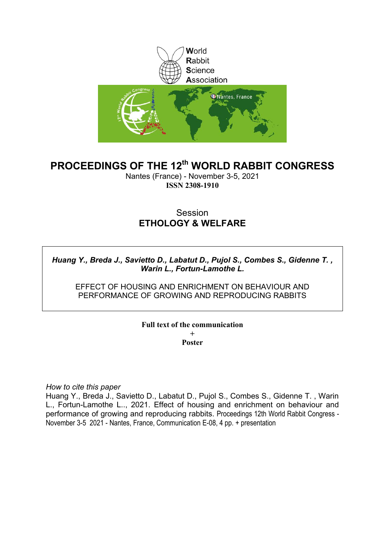

# **PROCEEDINGS OF THE 12th WORLD RABBIT CONGRESS**

Nantes (France) - November 3-5, 2021 **ISSN 2308-1910**

# **Session ETHOLOGY & WELFARE**

# *Huang Y., Breda J., Savietto D., Labatut D., Pujol S., Combes S., Gidenne T. , Warin L., Fortun-Lamothe L.*

EFFECT OF HOUSING AND ENRICHMENT ON BEHAVIOUR AND PERFORMANCE OF GROWING AND REPRODUCING RABBITS

# **Full text of the communication +**

**Poster**

*How to cite this paper*

Huang Y., Breda J., Savietto D., Labatut D., Pujol S., Combes S., Gidenne T. , Warin L., Fortun-Lamothe L.., 2021. Effect of housing and enrichment on behaviour and performance of growing and reproducing rabbits. Proceedings 12th World Rabbit Congress - November 3-5 2021 - Nantes, France, Communication E-08, 4 pp. + presentation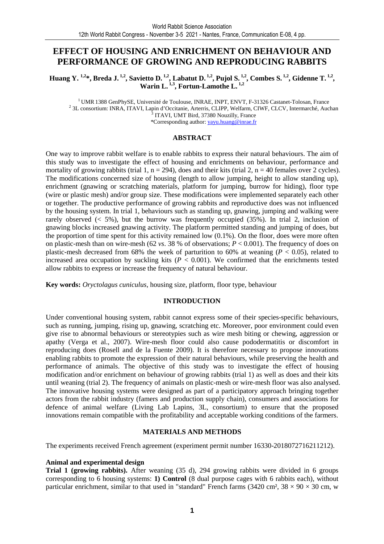# **EFFECT OF HOUSING AND ENRICHMENT ON BEHAVIOUR AND PERFORMANCE OF GROWING AND REPRODUCING RABBITS**

**Huang Y. 1,2\*, Breda J. 1,2, Savietto D. 1,2, Labatut D. 1,2, Pujol S. 1,2, Combes S. 1,2, Gidenne T. 1,2 , Warin L. 1,3, Fortun-Lamothe L. 1,2** 

<sup>1</sup> UMR 1388 GenPhySE, Université de Toulouse, INRAE, INPT, ENVT, F-31326 Castanet-Tolosan, France 2 3L consortium: INRA, ITAVI, Lapin d'Occitanie, Arterris, CLIPP, Welfarm, CIWF, CLCV, Intermarché, Auchan <sup>3</sup> ITAVI, UMT Bird, 37380 Nouzilly, France \*Corresponding author: yayu.huang@inrae.fr

#### **ABSTRACT**

One way to improve rabbit welfare is to enable rabbits to express their natural behaviours. The aim of this study was to investigate the effect of housing and enrichments on behaviour, performance and mortality of growing rabbits (trial 1,  $n = 294$ ), does and their kits (trial 2,  $n = 40$  females over 2 cycles). The modifications concerned size of housing (length to allow jumping, height to allow standing up), enrichment (gnawing or scratching materials, platform for jumping, burrow for hiding), floor type (wire or plastic mesh) and/or group size. These modifications were implemented separately each other or together. The productive performance of growing rabbits and reproductive does was not influenced by the housing system. In trial 1, behaviours such as standing up, gnawing, jumping and walking were rarely observed  $\langle 5\%, \rangle$  but the burrow was frequently occupied (35%). In trial 2, inclusion of gnawing blocks increased gnawing activity. The platform permitted standing and jumping of does, but the proportion of time spent for this activity remained low  $(0.1\%)$ . On the floor, does were more often on plastic-mesh than on wire-mesh (62 *vs*. 38 % of observations; *P* < 0.001). The frequency of does on plastic-mesh decreased from 68% the week of parturition to 60% at weaning  $(P < 0.05)$ , related to increased area occupation by suckling kits  $(P < 0.001)$ . We confirmed that the enrichments tested allow rabbits to express or increase the frequency of natural behaviour.

**Key words:** *Oryctolagus cuniculus*, housing size, platform, floor type, behaviour

# **INTRODUCTION**

Under conventional housing system, rabbit cannot express some of their species-specific behaviours, such as running, jumping, rising up, gnawing, scratching etc. Moreover, poor environment could even give rise to abnormal behaviours or stereotypies such as wire mesh biting or chewing, aggression or apathy (Verga et al., 2007). Wire-mesh floor could also cause pododermatitis or discomfort in reproducing does (Rosell and de la Fuente 2009). It is therefore necessary to propose innovations enabling rabbits to promote the expression of their natural behaviours, while preserving the health and performance of animals. The objective of this study was to investigate the effect of housing modification and/or enrichment on behaviour of growing rabbits (trial 1) as well as does and their kits until weaning (trial 2). The frequency of animals on plastic-mesh or wire-mesh floor was also analysed. The innovative housing systems were designed as part of a participatory approach bringing together actors from the rabbit industry (famers and production supply chain), consumers and associations for defence of animal welfare (Living Lab Lapins, 3L, consortium) to ensure that the proposed innovations remain compatible with the profitability and acceptable working conditions of the farmers.

# **MATERIALS AND METHODS**

The experiments received French agreement (experiment permit number 16330-2018072716211212).

# **Animal and experimental design**

**Trial 1 (growing rabbits).** After weaning (35 d), 294 growing rabbits were divided in 6 groups corresponding to 6 housing systems: **1) Control** (8 dual purpose cages with 6 rabbits each), without particular enrichment, similar to that used in "standard" French farms (3420 cm², 38  $\times$  90  $\times$  30 cm, w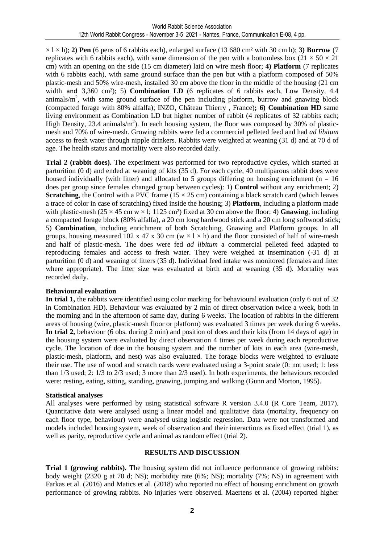$\times$  l  $\times$  h); **2) Pen** (6 pens of 6 rabbits each), enlarged surface (13 680 cm<sup>2</sup> with 30 cm h); **3) Burrow** (7 replicates with 6 rabbits each), with same dimension of the pen with a bottomless box ( $21 \times 50 \times 21$ ) cm) with an opening on the side (15 cm diameter) laid on wire mesh floor; **4) Platform** (7 replicates with 6 rabbits each), with same ground surface than the pen but with a platform composed of 50% plastic-mesh and 50% wire-mesh, installed 30 cm above the floor in the middle of the housing (21 cm width and 3,360 cm²); 5) **Combination LD** (6 replicates of 6 rabbits each, Low Density, 4.4 animals/ $m<sup>2</sup>$ , with same ground surface of the pen including platform, burrow and gnawing block (compacted forage with 80% alfalfa); INZO, Château Thierry , France)**; 6) Combination HD** same living environment as Combination LD but higher number of rabbit (4 replicates of 32 rabbits each; High Density, 23.4 animals/ $m<sup>2</sup>$ ). In each housing system, the floor was composed by 30% of plasticmesh and 70% of wire-mesh. Growing rabbits were fed a commercial pelleted feed and had *ad libitum* access to fresh water through nipple drinkers. Rabbits were weighted at weaning (31 d) and at 70 d of age. The health status and mortality were also recorded daily.

**Trial 2 (rabbit does).** The experiment was performed for two reproductive cycles, which started at parturition (0 d) and ended at weaning of kits (35 d). For each cycle, 40 multiparous rabbit does were housed individually (with litter) and allocated to 5 groups differing on housing enrichment ( $n = 16$ ) does per group since females changed group between cycles): 1) **Control** without any enrichment; 2) **Scratching**, the Control with a PVC frame  $(15 \times 25 \text{ cm})$  containing a black scratch card (which leaves a trace of color in case of scratching) fixed inside the housing; 3) **Platform**, including a platform made with plastic-mesh ( $25 \times 45$  cm w  $\times$  l; 1125 cm<sup>2</sup>) fixed at 30 cm above the floor; 4) **Gnawing**, including a compacted forage block (80% alfalfa), a 20 cm long hardwood stick and a 20 cm long softwood stick; 5) **Combination**, including enrichment of both Scratching, Gnawing and Platform groups. In all groups, housing measured  $102 \times 47 \times 30$  cm (w  $\times 1 \times h$ ) and the floor consisted of half of wire-mesh and half of plastic-mesh. The does were fed *ad libitum* a commercial pelleted feed adapted to reproducing females and access to fresh water. They were weighed at insemination (-31 d) at parturition (0 d) and weaning of litters (35 d). Individual feed intake was monitored (females and litter where appropriate). The litter size was evaluated at birth and at weaning (35 d). Mortality was recorded daily.

# **Behavioural evaluation**

**In trial 1,** the rabbits were identified using color marking for behavioural evaluation (only 6 out of 32 in Combination HD). Behaviour was evaluated by 2 min of direct observation twice a week, both in the morning and in the afternoon of same day, during 6 weeks. The location of rabbits in the different areas of housing (wire, plastic-mesh floor or platform) was evaluated 3 times per week during 6 weeks. **In trial 2,** behaviour (6 obs. during 2 min) and position of does and their kits (from 14 days of age) in the housing system were evaluated by direct observation 4 times per week during each reproductive cycle. The location of doe in the housing system and the number of kits in each area (wire-mesh, plastic-mesh, platform, and nest) was also evaluated. The forage blocks were weighted to evaluate their use. The use of wood and scratch cards were evaluated using a 3-point scale (0: not used; 1: less than 1/3 used; 2: 1/3 to 2/3 used; 3 more than 2/3 used). In both experiments, the behaviours recorded were: resting, eating, sitting, standing, gnawing, jumping and walking (Gunn and Morton, 1995).

# **Statistical analyses**

All analyses were performed by using statistical software R version 3.4.0 (R Core Team, 2017). Quantitative data were analysed using a linear model and qualitative data (mortality, frequency on each floor type, behaviour) were analysed using logistic regression. Data were not transformed and models included housing system, week of observation and their interactions as fixed effect (trial 1), as well as parity, reproductive cycle and animal as random effect (trial 2).

# **RESULTS AND DISCUSSION**

**Trial 1 (growing rabbits).** The housing system did not influence performance of growing rabbits: body weight (2320 g at 70 d; NS); morbidity rate (6%; NS); mortality (7%; NS) in agreement with Farkas et al. (2016) and Matics et al. (2018) who reported no effect of housing enrichment on growth performance of growing rabbits. No injuries were observed. Maertens et al. (2004) reported higher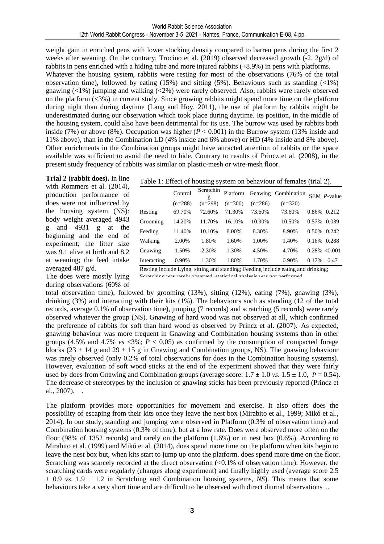weight gain in enriched pens with lower stocking density compared to barren pens during the first 2 weeks after weaning. On the contrary, Trocino et al. (2019) observed decreased growth (-2. 2g/d) of rabbits in pens enriched with a hiding tube and more injured rabbits (+8.9%) in pens with platforms. Whatever the housing system, rabbits were resting for most of the observations (76% of the total observation time), followed by eating  $(15%)$  and sitting  $(5%)$ . Behaviours such as standing  $\left(\langle 1\% \right)$ gnawing (<1%) jumping and walking (<2%) were rarely observed. Also, rabbits were rarely observed on the platform (<3%) in current study. Since growing rabbits might spend more time on the platform during night than during daytime (Lang and Hoy, 2011), the use of platform by rabbits might be underestimated during our observation which took place during daytime. Its position, in the middle of the housing system, could also have been detrimental for its use. The burrow was used by rabbits both inside (7%) or above (8%). Occupation was higher  $(P < 0.001)$  in the Burrow system (13% inside and 11% above), than in the Combination LD (4% inside and 6% above) or HD (4% inside and 8% above). Other enrichments in the Combination groups might have attracted attention of rabbits or the space available was sufficient to avoid the need to hide. Contrary to results of Princz et al. (2008), in the present study frequency of rabbits was similar on plastic-mesh or wire-mesh floor.

**Trial 2 (rabbit does).** In line with Rommers et al. (2014), production performance of does were not influenced by the housing system (NS): body weight averaged 4943 g and 4931 g at the beginning and the end of experiment; the litter size was 9.1 alive at birth and 8.2 at weaning; the feed intake averaged 487 g/d.

The does were mostly lying during observations (60% of

|             | Control   | Scratchin | Platform  |           | Gnawing Combination SEM P-value |       |                  |
|-------------|-----------|-----------|-----------|-----------|---------------------------------|-------|------------------|
|             | $(n=288)$ | $(n=298)$ | $(n=300)$ | $(n=286)$ | $(n=320)$                       |       |                  |
| Resting     | 69.70%    | 72.60%    | 71.30%    | 73.60%    | 73.60%                          | 0.86% | 0.212            |
| Grooming    | 14.20%    | 11.70%    | 16.10%    | 10.90%    | 10.50%                          | 0.57% | 0.039            |
| Feeding     | 11.40%    | 10.10%    | 8.00%     | 8.30%     | 8.90%                           | 0.50% | 0.242            |
| Walking     | 2.00%     | 1.80%     | 1.60%     | 1.00%     | 1.40%                           | 0.16% | 0.288            |
| Gnawing     | 1.50%     | 2.30%     | 1.30%     | 4.50%     | 4.70%                           |       | $0.28\% < 0.001$ |
| Interacting | 0.90%     | 1.30%     | 1.80%     | 1.70%     | 0.90%                           | 0.17% | 0.47             |

Resting include Lying, sitting and standing; Feeding include eating and drinking;

Scratching was rarely observed, statistical analysis was not performed.

total observation time), followed by grooming (13%), sitting (12%), eating (7%), gnawing (3%), drinking (3%) and interacting with their kits (1%). The behaviours such as standing (12 of the total records, average 0.1% of observation time), jumping (7 records) and scratching (5 records) were rarely observed whatever the group (NS). Gnawing of hard wood was not observed at all, which confirmed the preference of rabbits for soft than hard wood as observed by Princz et al. (2007). As expected, gnawing behaviour was more frequent in Gnawing and Combination housing systems than in other groups (4.5% and 4.7%  $vs$  <3%;  $P < 0.05$ ) as confirmed by the consumption of compacted forage blocks (23  $\pm$  14 g and 29  $\pm$  15 g in Gnawing and Combination groups, NS). The gnawing behaviour was rarely observed (only 0.2% of total observations for does in the Combination housing systems). However, evaluation of soft wood sticks at the end of the experiment showed that they were fairly used by does from Gnawing and Combination groups (average score:  $1.7 \pm 1.0$  *vs*.  $1.5 \pm 1.0$ , *P* = 0.54). The decrease of stereotypes by the inclusion of gnawing sticks has been previously reported (Princz et al., 2007). .

The platform provides more opportunities for movement and exercise. It also offers does the possibility of escaping from their kits once they leave the nest box (Mirabito et al., 1999; Mikó et al., 2014). In our study, standing and jumping were observed in Platform (0.3% of observation time) and Combination housing systems (0.3% of time), but at a low rate. Does were observed more often on the floor (98% of 1352 records) and rarely on the platform  $(1.6%)$  or in nest box  $(0.6%)$ . According to Mirabito et al. (1999) and Mikó et al. (2014), does spend more time on the platform when kits begin to leave the nest box but, when kits start to jump up onto the platform, does spend more time on the floor. Scratching was scarcely recorded at the direct observation  $( $0.1\%$  of observation time)$ . However, the scratching cards were regularly (changes along experiment) and finally highly used (average score 2.5  $\pm$  0.9 *vs*. 1.9  $\pm$  1.2 in Scratching and Combination housing systems, *NS*). This means that some behaviours take a very short time and are difficult to be observed with direct diurnal observations ..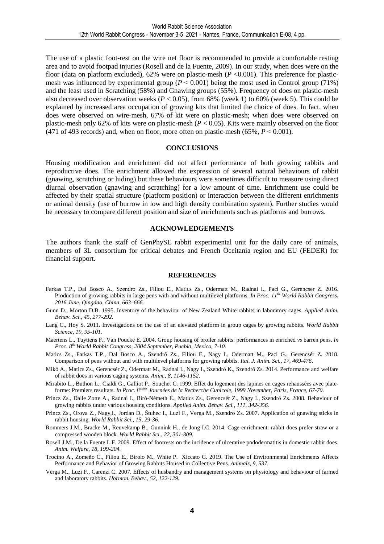The use of a plastic foot-rest on the wire net floor is recommended to provide a comfortable resting area and to avoid footpad injuries (Rosell and de la Fuente, 2009). In our study, when does were on the floor (data on platform excluded),  $62\%$  were on plastic-mesh ( $P < 0.001$ ). This preference for plasticmesh was influenced by experimental group  $(P < 0.001)$  being the most used in Control group (71%) and the least used in Scratching (58%) and Gnawing groups (55%). Frequency of does on plastic-mesh also decreased over observation weeks ( $P < 0.05$ ), from 68% (week 1) to 60% (week 5). This could be explained by increased area occupation of growing kits that limited the choice of does. In fact, when does were observed on wire-mesh, 67% of kit were on plastic-mesh; when does were observed on plastic-mesh only 62% of kits were on plastic-mesh (*P* < 0.05). Kits were mainly observed on the floor (471 of 493 records) and, when on floor, more often on plastic-mesh  $(65\%, P < 0.001)$ .

#### **CONCLUSIONS**

Housing modification and enrichment did not affect performance of both growing rabbits and reproductive does. The enrichment allowed the expression of several natural behaviours of rabbit (gnawing, scratching or hiding) but these behaviours were sometimes difficult to measure using direct diurnal observation (gnawing and scratching) for a low amount of time. Enrichment use could be affected by their spatial structure (platform position) or interaction between the different enrichments or animal density (use of burrow in low and high density combination system). Further studies would be necessary to compare different position and size of enrichments such as platforms and burrows.

#### **ACKNOWLEDGEMENTS**

The authors thank the staff of GenPhySE rabbit experimental unit for the daily care of animals, members of 3L consortium for critical debates and French Occitania region and EU (FEDER) for financial support.

#### **REFERENCES**

- Farkas T.P., Dal Bosco A., Szendro Zs., Filiou E., Matics Zs., Odermatt M., Radnai I., Paci G., Gerencser Z. 2016. Production of growing rabbits in large pens with and without multilevel platforms. *In Proc. 11th World Rabbit Congress, 2016 June, Qingdao, China, 663–666.*
- Gunn D., Morton D.B. 1995. Inventory of the behaviour of New Zealand White rabbits in laboratory cages. *Applied Anim. Behav. Sci., 45, 277-292*.
- Lang C., Hoy S. 2011. Investigations on the use of an elevated platform in group cages by growing rabbits. *World Rabbit Science, 19, 95-101.*
- Maertens L., Tuyttens F., Van Poucke E. 2004. Group housing of broiler rabbits: performances in enriched *vs* barren pens. *In Proc. 8th World Rabbit Congress, 2004 September, Puebla, Mexico, 7-10.*
- Matics Zs., Farkas T.P., Dal Bosco A., Szendrő Zs., Filiou E., Nagy I., Odermatt M., Paci G., Gerencsér Z. 2018. Comparison of pens without and with multilevel platforms for growing rabbits. *Ital. J. Anim. Sci., 17, 469-476*.
- Mikó A., Matics Zs., Gerencsér Z., Odermatt M., Radnai I., Nagy I., Szendrő K., Szendrő Zs. 2014. Performance and welfare of rabbit does in various caging systems. *Anim., 8, 1146-1152*.
- Mirabito L., Buthon L., Cialdi G., Galliot P., Souchet C. 1999. Effet du logement des lapines en cages rehaussées avec plateforme: Premiers resultats. *In Proc. 8èmes Journées de la Recherche Cunicole, 1999 November, Paris, France, 67-70.*
- Princz Zs., Dalle Zotte A., Radnai I., Bíró-Németh E., Matics Zs., Gerencsér Z., Nagy I., Szendrő Zs. 2008. Behaviour of growing rabbits under various housing conditions. *Applied Anim. Behav. Sci., 111, 342-356.*
- Princz Zs., Orova Z., Nagy,I., Jordan D., Štuhec I., Luzi F., Verga M., Szendrő Zs. 2007. Application of gnawing sticks in rabbit housing. *World Rabbit Sci., 15, 29-36.*
- Rommers J.M., Bracke M., Reuvekamp B., Gunnink H., de Jong I.C. 2014. Cage-enrichment: rabbit does prefer straw or a compressed wooden block. *World Rabbit Sci., 22, 301-309*.
- Rosell J.M., De la Fuente L.F. 2009. Effect of footrests on the incidence of ulcerative pododermatitis in domestic rabbit does. *Anim. Welfare, 18, 199-204.*
- Trocino A., Zomeño C., Filiou E., Birolo M., White P. Xiccato G. 2019. The Use of Environmental Enrichments Affects Performance and Behavior of Growing Rabbits Housed in Collective Pens. *Animals, 9, 537.*
- Verga M., Luzi F., Carenzi C. 2007. Effects of husbandry and management systems on physiology and behaviour of farmed and laboratory rabbits. *Hormon. Behav., 52, 122-129.*